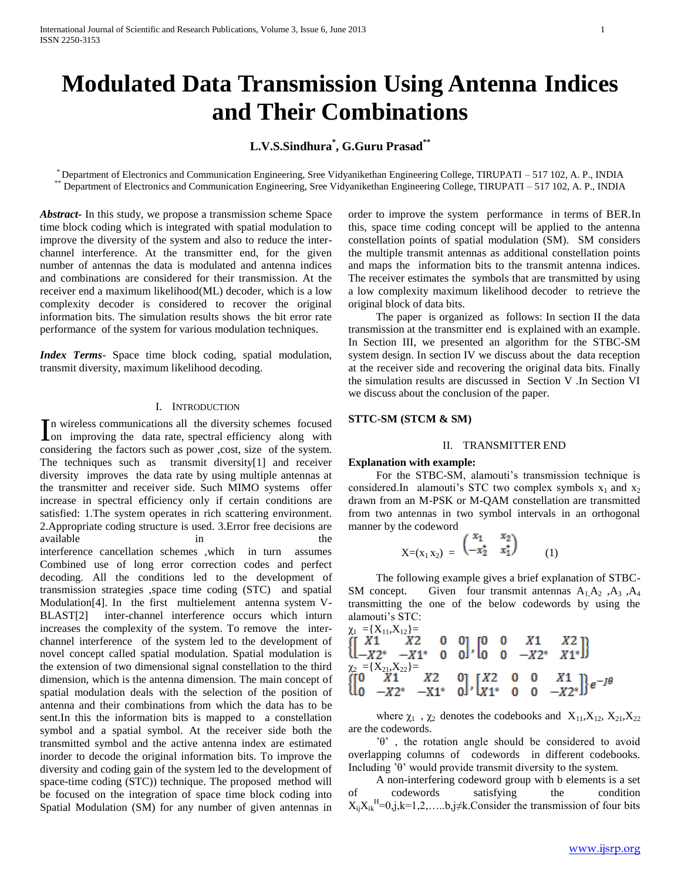# **Modulated Data Transmission Using Antenna Indices and Their Combinations**

## **L.V.S.Sindhura\* , G.Guru Prasad\*\***

\* Department of Electronics and Communication Engineering, Sree Vidyanikethan Engineering College, TIRUPATI – 517 102, A. P., INDIA \*\* Department of Electronics and Communication Engineering, Sree Vidyanikethan Engineering College, TIRUPATI – 517 102, A. P., INDIA

*Abstract***-** In this study, we propose a transmission scheme Space time block coding which is integrated with spatial modulation to improve the diversity of the system and also to reduce the interchannel interference. At the transmitter end, for the given number of antennas the data is modulated and antenna indices and combinations are considered for their transmission. At the receiver end a maximum likelihood(ML) decoder, which is a low complexity decoder is considered to recover the original information bits. The simulation results shows the bit error rate performance of the system for various modulation techniques.

*Index Terms*- Space time block coding, spatial modulation, transmit diversity, maximum likelihood decoding.

## I. INTRODUCTION

n wireless communications all the diversity schemes focused In wireless communications all the diversity schemes focused<br>Ion improving the data rate, spectral efficiency along with considering the factors such as power ,cost, size of the system. The techniques such as transmit diversity[1] and receiver diversity improves the data rate by using multiple antennas at the transmitter and receiver side. Such MIMO systems offer increase in spectral efficiency only if certain conditions are satisfied: 1.The system operates in rich scattering environment. 2.Appropriate coding structure is used. 3.Error free decisions are available in the the interference cancellation schemes ,which in turn assumes Combined use of long error correction codes and perfect decoding. All the conditions led to the development of transmission strategies ,space time coding (STC) and spatial Modulation[4]. In the first multielement antenna system V-BLAST[2] inter-channel interference occurs which inturn increases the complexity of the system. To remove the interchannel interference of the system led to the development of novel concept called spatial modulation. Spatial modulation is the extension of two dimensional signal constellation to the third dimension, which is the antenna dimension. The main concept of spatial modulation deals with the selection of the position of antenna and their combinations from which the data has to be sent.In this the information bits is mapped to a constellation symbol and a spatial symbol. At the receiver side both the transmitted symbol and the active antenna index are estimated inorder to decode the original information bits. To improve the diversity and coding gain of the system led to the development of space-time coding (STC)) technique. The proposed method will be focused on the integration of space time block coding into Spatial Modulation (SM) for any number of given antennas in

order to improve the system performance in terms of BER.In this, space time coding concept will be applied to the antenna constellation points of spatial modulation (SM). SM considers the multiple transmit antennas as additional constellation points and maps the information bits to the transmit antenna indices. The receiver estimates the symbols that are transmitted by using a low complexity maximum likelihood decoder to retrieve the original block of data bits.

 The paper is organized as follows: In section II the data transmission at the transmitter end is explained with an example. In Section III, we presented an algorithm for the STBC-SM system design. In section IV we discuss about the data reception at the receiver side and recovering the original data bits. Finally the simulation results are discussed in Section V .In Section VI we discuss about the conclusion of the paper.

## **STTC-SM (STCM & SM)**

## II. TRANSMITTER END

## **Explanation with example:**

 For the STBC-SM, alamouti's transmission technique is considered.In alamouti's STC two complex symbols  $x_1$  and  $x_2$ drawn from an M-PSK or M-QAM constellation are transmitted from two antennas in two symbol intervals in an orthogonal manner by the codeword

$$
X=(x_1 x_2) = \begin{pmatrix} x_1 & x_2 \\ -x_2^* & x_1^* \end{pmatrix} (1)
$$

 The following example gives a brief explanation of STBC-SM concept. Given four transmit antennas  $A_1, A_2, A_3, A_4$ transmitting the one of the below codewords by using the alamouti's STC:

$$
\begin{array}{ll}\n\chi_1 = \{X_{11}, X_{12}\} = \\
\{\begin{bmatrix} X1 & X2 & 0 & 0 \ 0 & -X2^* & X1^* \end{bmatrix}\} \\
\chi_2 = \{X_{21}, X_{22}\} = \\
\{\begin{bmatrix} 0 & X1 & X2 \ 0 & -X2^* & X1^* \end{bmatrix}\} \\
\{\begin{bmatrix} 0 & X1 & X2 \ 0 & -X2^* & -X1^* & 0 \end{bmatrix}, \begin{bmatrix} X2 & 0 & 0 & X1 \ X1^* & 0 & 0 & -X2^* \end{bmatrix}\}e^{-J\theta}\n\end{array}
$$

where  $\chi_1$  ,  $\chi_2$  denotes the codebooks and  $\ X_{11},\!X_{12},\,X_{21},\!X_{22}$ are the codewords.

 'θ' , the rotation angle should be considered to avoid overlapping columns of codewords in different codebooks. Including 'θ' would provide transmit diversity to the system.

 A non-interfering codeword group with b elements is a set of codewords satisfying the condition  $X_{ij}X_{ik}^{H} = 0, j, k = 1, 2, \ldots, b, j \neq k$ . Consider the transmission of four bits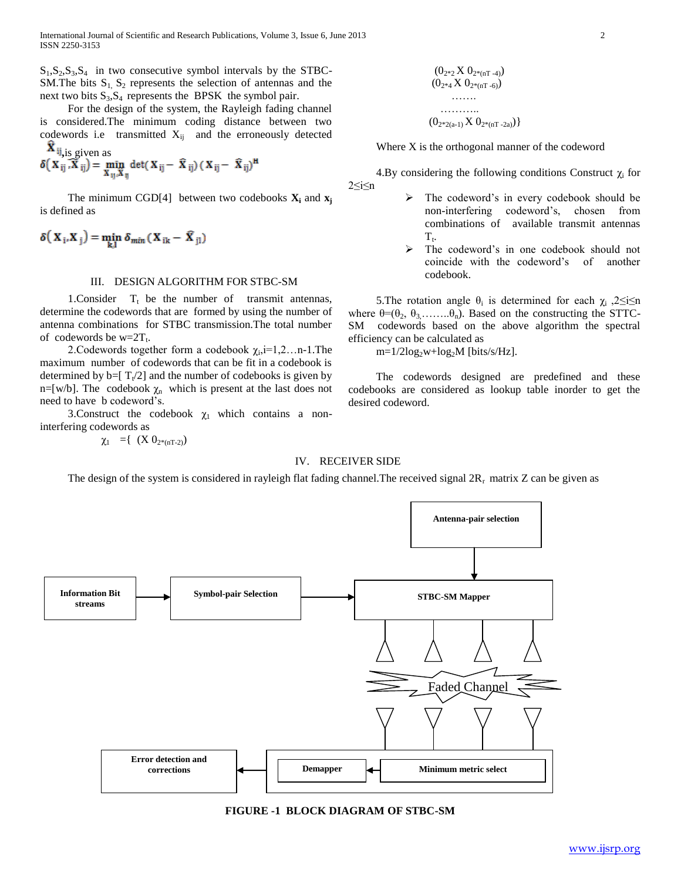$S_1, S_2, S_3, S_4$  in two consecutive symbol intervals by the STBC-SM. The bits  $S_1$ ,  $S_2$  represents the selection of antennas and the next two bits  $S_3$ ,  $S_4$  represents the BPSK the symbol pair.

 For the design of the system, the Rayleigh fading channel is considered.The minimum coding distance between two codewords i.e transmitted  $X_{ij}$  and the erroneously detected  $\hat{\mathbf{x}}$  as given as

$$
\delta\left(\mathbf{X}_{ij}, \mathbf{\overline{X}}_{ij}\right) = \min_{\mathbf{X}_{ij}, \mathbf{\overline{X}}_{ij}} \det(\mathbf{X}_{ij} - \mathbf{\overline{X}}_{ij}) (\mathbf{X}_{ij} - \mathbf{\overline{X}}_{ij})^{\mathbf{H}}
$$

The minimum CGD[4] between two codebooks  $\mathbf{X}_i$  and  $\mathbf{x}_i$ is defined as

$$
\delta\big(\, \boldsymbol{X}_{\,i},\boldsymbol{X}_{\,j}\,\big) = \min_{k,l} \, \delta_{\textit{min}} \, (\, \boldsymbol{X}_{\,ik} - \, \boldsymbol{\widehat{X}}_{\,jl} \,)
$$

## III. DESIGN ALGORITHM FOR STBC-SM

1. Consider  $T_t$  be the number of transmit antennas, determine the codewords that are formed by using the number of antenna combinations for STBC transmission.The total number of codewords be  $w=2T_t$ .

2. Codewords together form a codebook  $\chi_i$ ,  $i=1,2...$ n-1. The maximum number of codewords that can be fit in a codebook is determined by  $b = [T_t/2]$  and the number of codebooks is given by n=[w/b]. The codebook  $\chi_n$  which is present at the last does not need to have b codeword's.

3. Construct the codebook  $\chi_1$  which contains a noninterfering codewords as

 $\chi_1 = \{ (X 0_{2*(nT-2)}) \}$ 

## IV. RECEIVER SIDE

The design of the system is considered in rayleigh flat fading channel. The received signal  $2R_r$  matrix Z can be given as





$$
\begin{array}{c} (0_{2^*2}\,{\rm X}\;0_{2^*(\rm nT-4)})\\ (0_{2^*4}\,{\rm X}\;0_{2^*(\rm nT-6)})\\ \ldots\\ \ldots\\ (0_{2^*2(\rm a-1)}\,{\rm X}\;0_{2^*(\rm nT-2\rm a)})\}\end{array}
$$

Where X is the orthogonal manner of the codeword

4.By considering the following conditions Construct  $\chi_i$  for 2≤i≤n

- $\triangleright$  The codeword's in every codebook should be non-interfering codeword's, chosen from combinations of available transmit antennas  $T_{t}$ .
- The codeword's in one codebook should not coincide with the codeword's of another codebook.

5. The rotation angle  $θ_i$  is determined for each  $χ_i$ , 2 ≤i ≤n where  $\theta = (\theta_2, \theta_3, \dots, \theta_n)$ . Based on the constructing the STTC-SM codewords based on the above algorithm the spectral efficiency can be calculated as

 $m=1/2log_2w+log_2M$  [bits/s/Hz].

 The codewords designed are predefined and these codebooks are considered as lookup table inorder to get the desired codeword.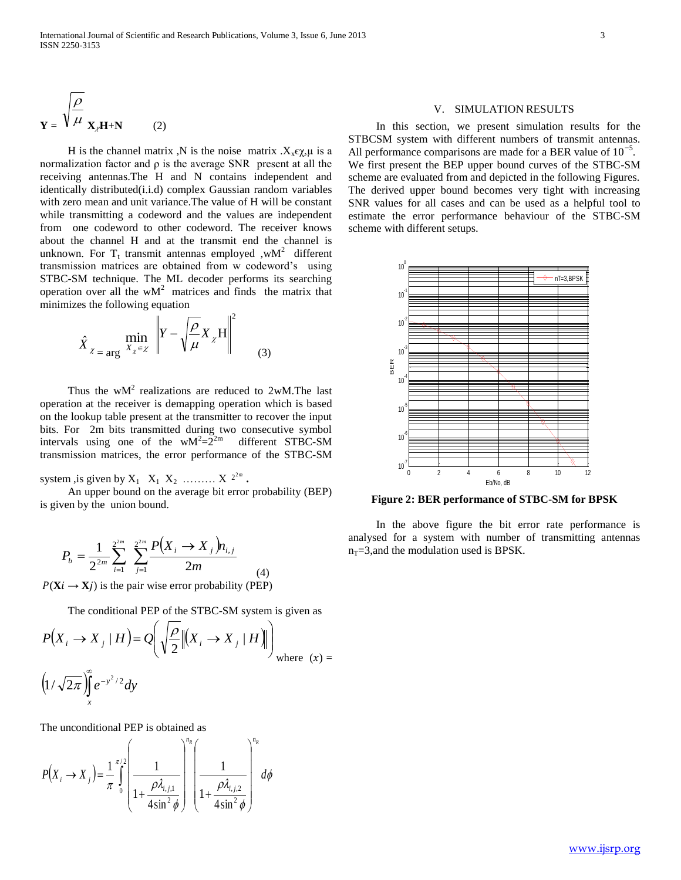$$
\mathbf{Y} = \sqrt{\frac{\rho}{\mu}} \mathbf{X}_{\lambda} \mathbf{H} + \mathbf{N}
$$
 (2)

H is the channel matrix ,N is the noise matrix . $X_x \epsilon \chi$ , $\mu$  is a normalization factor and ρ is the average SNR present at all the receiving antennas.The H and N contains independent and identically distributed(i.i.d) complex Gaussian random variables with zero mean and unit variance.The value of H will be constant while transmitting a codeword and the values are independent from one codeword to other codeword. The receiver knows about the channel H and at the transmit end the channel is unknown. For  $T_t$  transmit antennas employed ,wM<sup>2</sup> different transmission matrices are obtained from w codeword's using STBC-SM technique. The ML decoder performs its searching operation over all the  $wM<sup>2</sup>$  matrices and finds the matrix that minimizes the following equation

$$
\hat{X}_{\chi = \arg X_{\chi} \in \chi} \left\| Y - \sqrt{\frac{\rho}{\mu}} X_{\chi} H \right\|^{2}
$$
 (3)

Thus the  $wM^2$  realizations are reduced to 2wM. The last operation at the receiver is demapping operation which is based on the lookup table present at the transmitter to recover the input bits. For 2m bits transmitted during two consecutive symbol intervals using one of the  $wM^2 = 2^{2m}$  different STBC-SM transmission matrices, the error performance of the STBC-SM

system , is given by  $X_1 \, X_1 \, X_2 \, \ldots \, X \, 2^{2m}$ .

 An upper bound on the average bit error probability (BEP) is given by the union bound.

$$
P_b = \frac{1}{2^{2m}} \sum_{i=1}^{2^{2m}} \sum_{j=1}^{2^{2m}} \frac{P(X_i \rightarrow X_j) n_{i,j}}{2m}
$$
  
\n
$$
P(\mathbf{X}i \rightarrow \mathbf{X}j)
$$
 is the pair wise error probability (PEP)

The conditional PEP of the STBC-SM system is given as

$$
P(X_i \to X_j | H) = Q\left(\sqrt{\frac{\rho}{2}} \| (X_i \to X_j | H) \| \right)_{\text{where } (x) =
$$
  

$$
\left(1/\sqrt{2\pi}\right)_{x}^{\infty} e^{-y^2/2} dy
$$

The unconditional PEP is obtained as

$$
P(X_i \to X_j) = \frac{1}{\pi} \int_0^{\pi/2} \left( \frac{1}{1 + \frac{\rho \lambda_{i,j,1}}{4 \sin^2 \phi}} \right)^{n_R} \left( \frac{1}{1 + \frac{\rho \lambda_{i,j,2}}{4 \sin^2 \phi}} \right)^{n_R} d\phi
$$

## V. SIMULATION RESULTS

 In this section, we present simulation results for the STBCSM system with different numbers of transmit antennas. All performance comparisons are made for a BER value of 10*<sup>−</sup>*<sup>5</sup> . We first present the BEP upper bound curves of the STBC-SM scheme are evaluated from and depicted in the following Figures. The derived upper bound becomes very tight with increasing SNR values for all cases and can be used as a helpful tool to estimate the error performance behaviour of the STBC-SM scheme with different setups.



**Figure 2: BER performance of STBC-SM for BPSK**

 In the above figure the bit error rate performance is analysed for a system with number of transmitting antennas  $n_T = 3$ , and the modulation used is BPSK.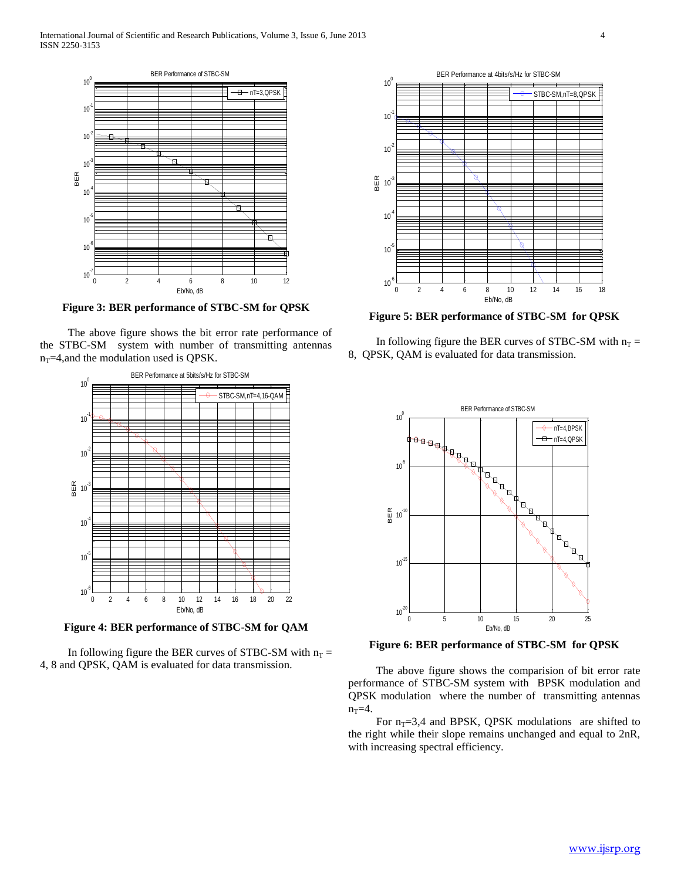

**Figure 3: BER performance of STBC-SM for QPSK**

 The above figure shows the bit error rate performance of the STBC-SM system with number of transmitting antennas  $n_T$ =4,and the modulation used is QPSK.



**Figure 4: BER performance of STBC-SM for QAM**

In following figure the BER curves of STBC-SM with  $n_T =$ 4, 8 and QPSK, QAM is evaluated for data transmission.



**Figure 5: BER performance of STBC-SM for QPSK**

In following figure the BER curves of STBC-SM with  $n_T =$ 8, QPSK, QAM is evaluated for data transmission.



**Figure 6: BER performance of STBC-SM for QPSK**

 The above figure shows the comparision of bit error rate performance of STBC-SM system with BPSK modulation and QPSK modulation where the number of transmitting antennas  $n_T = 4$ .

For  $n_T=3,4$  and BPSK, QPSK modulations are shifted to the right while their slope remains unchanged and equal to 2nR, with increasing spectral efficiency.